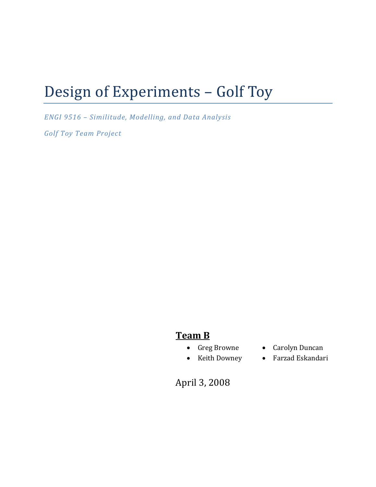# Design of Experiments – Golf Toy

*ENGI 9516 – Similitude, Modelling, and Data Analysis*

*Golf Toy Team Project*

# **Team B**

- 
- Greg Browne Carolyn Duncan
- Keith Downey • Farzad Eskandari

April 3, 2008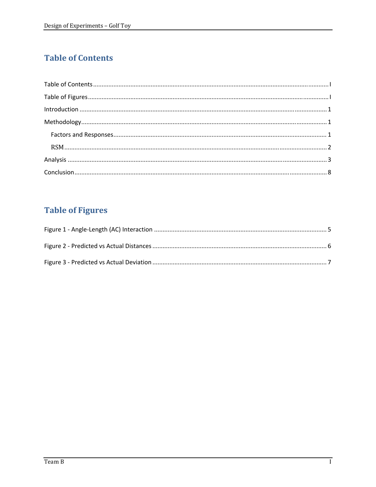# **Table of Contents**

| $\label{lem:1} \mbox{Introduction} \,\, \ldots \,\, \ldots \,\, \ldots \,\, \ldots \,\, \ldots \,\, \ldots \,\, \ldots \,\, \ldots \,\, \ldots \,\, \ldots \,\, \ldots \,\, \ldots \,\, \ldots \,\, \ldots \,\, \ldots \,\, \ldots \,\, \ldots \,\, \ldots \,\, \ldots \,\, \ldots \,\, \ldots \,\, \ldots \,\, \ldots \,\, \ldots \,\, \ldots \,\, \ldots \,\, \ldots \,\, \ldots \,\, \ldots \,\, \ldots \,\, \ldots \,\, \ldots \,\, \ldots \,\, \ldots \,\,$ |  |
|------------------------------------------------------------------------------------------------------------------------------------------------------------------------------------------------------------------------------------------------------------------------------------------------------------------------------------------------------------------------------------------------------------------------------------------------------------------|--|
|                                                                                                                                                                                                                                                                                                                                                                                                                                                                  |  |
|                                                                                                                                                                                                                                                                                                                                                                                                                                                                  |  |
|                                                                                                                                                                                                                                                                                                                                                                                                                                                                  |  |
|                                                                                                                                                                                                                                                                                                                                                                                                                                                                  |  |
|                                                                                                                                                                                                                                                                                                                                                                                                                                                                  |  |

# **Table of Figures**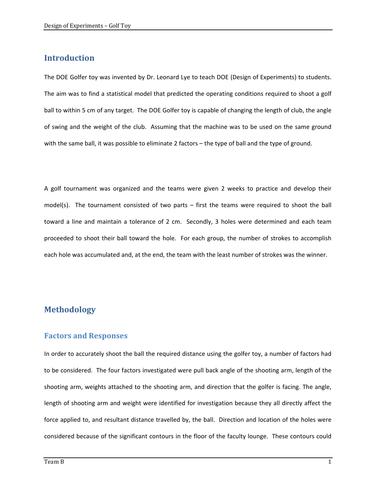### **Introduction**

The DOE Golfer toy was invented by Dr. Leonard Lye to teach DOE (Design of Experiments) to students. The aim was to find a statistical model that predicted the operating conditions required to shoot a golf ball to within 5 cm of any target. The DOE Golfer toy is capable of changing the length of club, the angle of swing and the weight of the club. Assuming that the machine was to be used on the same ground with the same ball, it was possible to eliminate 2 factors – the type of ball and the type of ground.

A golf tournament was organized and the teams were given 2 weeks to practice and develop their model(s). The tournament consisted of two parts – first the teams were required to shoot the ball toward a line and maintain a tolerance of 2 cm. Secondly, 3 holes were determined and each team proceeded to shoot their ball toward the hole. For each group, the number of strokes to accomplish each hole was accumulated and, at the end, the team with the least number of strokes was the winner.

## **Methodology**

#### **Factors and Responses**

In order to accurately shoot the ball the required distance using the golfer toy, a number of factors had to be considered. The four factors investigated were pull back angle of the shooting arm, length of the shooting arm, weights attached to the shooting arm, and direction that the golfer is facing. The angle, length of shooting arm and weight were identified for investigation because they all directly affect the force applied to, and resultant distance travelled by, the ball. Direction and location of the holes were considered because of the significant contours in the floor of the faculty lounge. These contours could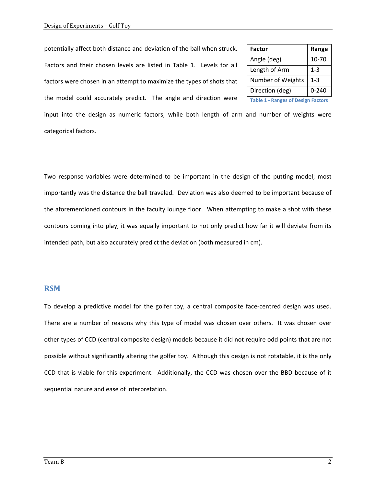potentially affect both distance and deviation of the ball when struck. Factors and their chosen levels are listed in Table 1. Levels for all factors were chosen in an attempt to maximize the types of shots that the model could accurately predict. The angle and direction were

| <b>Factor</b>                             | Range     |  |  |  |
|-------------------------------------------|-----------|--|--|--|
| Angle (deg)                               | 10-70     |  |  |  |
| Length of Arm                             | 1-3       |  |  |  |
| Number of Weights                         | $1 - 3$   |  |  |  |
| Direction (deg)                           | $0 - 240$ |  |  |  |
| <b>Table 1 - Ranges of Design Factors</b> |           |  |  |  |

input into the design as numeric factors, while both length of arm and number of weights were categorical factors.

Two response variables were determined to be important in the design of the putting model; most importantly was the distance the ball traveled. Deviation was also deemed to be important because of the aforementioned contours in the faculty lounge floor. When attempting to make a shot with these contours coming into play, it was equally important to not only predict how far it will deviate from its intended path, but also accurately predict the deviation (both measured in cm).

#### **RSM**

To develop a predictive model for the golfer toy, a central composite face‐centred design was used. There are a number of reasons why this type of model was chosen over others. It was chosen over other types of CCD (central composite design) models because it did not require odd points that are not possible without significantly altering the golfer toy. Although this design is not rotatable, it is the only CCD that is viable for this experiment. Additionally, the CCD was chosen over the BBD because of it sequential nature and ease of interpretation.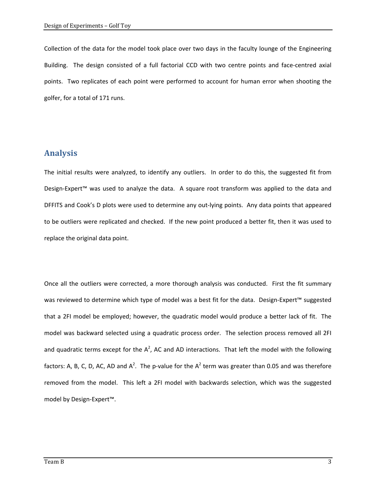Collection of the data for the model took place over two days in the faculty lounge of the Engineering Building. The design consisted of a full factorial CCD with two centre points and face-centred axial points. Two replicates of each point were performed to account for human error when shooting the golfer, for a total of 171 runs.

## **Analysis**

The initial results were analyzed, to identify any outliers. In order to do this, the suggested fit from Design-Expert™ was used to analyze the data. A square root transform was applied to the data and DFFITS and Cook's D plots were used to determine any out‐lying points. Any data points that appeared to be outliers were replicated and checked. If the new point produced a better fit, then it was used to replace the original data point.

Once all the outliers were corrected, a more thorough analysis was conducted. First the fit summary was reviewed to determine which type of model was a best fit for the data. Design‐Expert™ suggested that a 2FI model be employed; however, the quadratic model would produce a better lack of fit. The model was backward selected using a quadratic process order. The selection process removed all 2FI and quadratic terms except for the  $A^2$ , AC and AD interactions. That left the model with the following factors: A, B, C, D, AC, AD and A<sup>2</sup>. The p-value for the A<sup>2</sup> term was greater than 0.05 and was therefore removed from the model. This left a 2FI model with backwards selection, which was the suggested model by Design‐Expert™.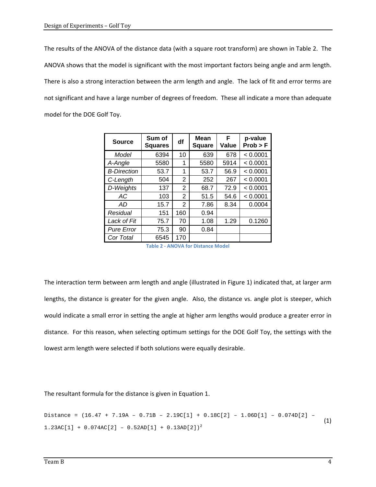The results of the ANOVA of the distance data (with a square root transform) are shown in Table 2. The ANOVA shows that the model is significant with the most important factors being angle and arm length. There is also a strong interaction between the arm length and angle. The lack of fit and error terms are not significant and have a large number of degrees of freedom. These all indicate a more than adequate model for the DOE Golf Toy.

| <b>Source</b>      | Sum of<br><b>Squares</b> | df  | <b>Mean</b><br><b>Square</b> | F<br>Value | p-value<br>Prob > F |
|--------------------|--------------------------|-----|------------------------------|------------|---------------------|
| Model              | 6394                     | 10  | 639                          | 678        | < 0.0001            |
| A-Angle            | 5580                     | 1   | 5580                         | 5914       | < 0.0001            |
| <b>B-Direction</b> | 53.7                     | 1   | 53.7                         | 56.9       | < 0.0001            |
| C-Length           | 504                      | 2   | 252                          | 267        | < 0.0001            |
| D-Weights          | 137                      | 2   | 68.7                         | 72.9       | < 0.0001            |
| AC                 | 103                      | 2   | 51.5                         | 54.6       | < 0.0001            |
| AD.                | 15.7                     | 2   | 7.86                         | 8.34       | 0.0004              |
| Residual           | 151                      | 160 | 0.94                         |            |                     |
| Lack of Fit        | 75.7                     | 70  | 1.08                         | 1.29       | 0.1260              |
| <b>Pure Error</b>  | 75.3                     | 90  | 0.84                         |            |                     |
| Cor Total          | 6545                     | 170 |                              |            |                     |

**Table 2 ‐ ANOVA for Distance Model**

The interaction term between arm length and angle (illustrated in Figure 1) indicated that, at larger arm lengths, the distance is greater for the given angle. Also, the distance vs. angle plot is steeper, which would indicate a small error in setting the angle at higher arm lengths would produce a greater error in distance. For this reason, when selecting optimum settings for the DOE Golf Toy, the settings with the lowest arm length were selected if both solutions were equally desirable.

The resultant formula for the distance is given in Equation 1.

Distance = (16.47 + 7.19A – 0.71B – 2.19C[1] + 0.18C[2] – 1.06D[1] – 0.074D[2] –  $1.23AC[1] + 0.074AC[2] - 0.52AD[1] + 0.13AD[2])^{2}$ (1)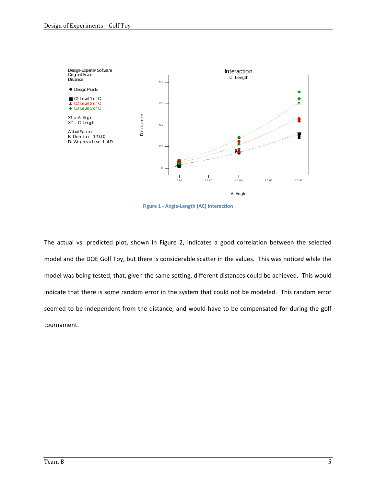

**Figure 1 ‐ Angle‐Length (AC) Interaction**

The actual vs. predicted plot, shown in Figure 2, indicates a good correlation between the selected model and the DOE Golf Toy, but there is considerable scatter in the values. This was noticed while the model was being tested; that, given the same setting, different distances could be achieved. This would indicate that there is some random error in the system that could not be modeled. This random error seemed to be independent from the distance, and would have to be compensated for during the golf tournament.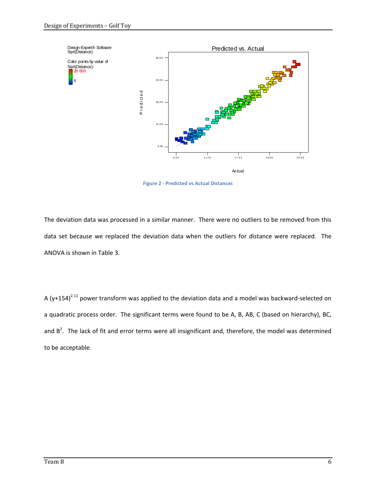

**Figure 2 ‐ Predicted vs Actual Distances**

The deviation data was processed in a similar manner. There were no outliers to be removed from this data set because we replaced the deviation data when the outliers for distance were replaced. The ANOVA is shown in Table 3.

A (y+154)<sup>2.11</sup> power transform was applied to the deviation data and a model was backward-selected on a quadratic process order. The significant terms were found to be A, B, AB, C (based on hierarchy), BC, and  $B^2$ . The lack of fit and error terms were all insignificant and, therefore, the model was determined to be acceptable.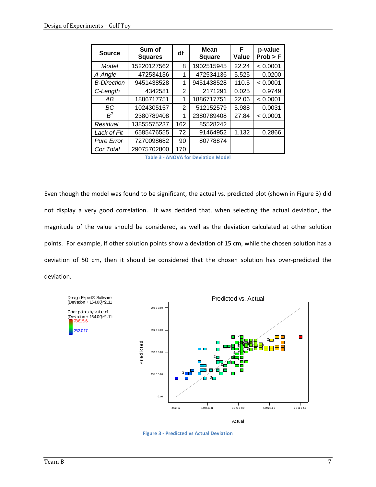| <b>Source</b>      | Sum of<br><b>Squares</b> | df  | <b>Mean</b><br><b>Square</b> | F<br>Value | p-value<br>Prob > F |
|--------------------|--------------------------|-----|------------------------------|------------|---------------------|
| Model              | 15220127562              | 8   | 1902515945                   | 22.24      | < 0.0001            |
| A-Angle            | 472534136                | 1   | 472534136                    | 5.525      | 0.0200              |
| <b>B-Direction</b> | 9451438528               | 1   | 9451438528                   | 110.5      | < 0.0001            |
| C-Length           | 4342581                  | 2   | 2171291                      | 0.025      | 0.9749              |
| AB                 | 1886717751               | 1   | 1886717751                   | 22.06      | < 0.0001            |
| ВC                 | 1024305157               | 2   | 512152579                    | 5.988      | 0.0031              |
| $R^2$              | 2380789408               | 1   | 2380789408                   | 27.84      | < 0.0001            |
| Residual           | 13855575237              | 162 | 85528242                     |            |                     |
| Lack of Fit        | 6585476555               | 72  | 91464952                     | 1.132      | 0.2866              |
| <b>Pure Error</b>  | 7270098682               | 90  | 80778874                     |            |                     |
| Cor Total          | 29075702800              | 170 |                              |            |                     |

Even though the model was found to be significant, the actual vs. predicted plot (shown in Figure 3) did not display a very good correlation. It was decided that, when selecting the actual deviation, the magnitude of the value should be considered, as well as the deviation calculated at other solution points. For example, if other solution points show a deviation of 15 cm, while the chosen solution has a deviation of 50 cm, then it should be considered that the chosen solution has over‐predicted the deviation.



**Figure 3 ‐ Predicted vs Actual Deviation**